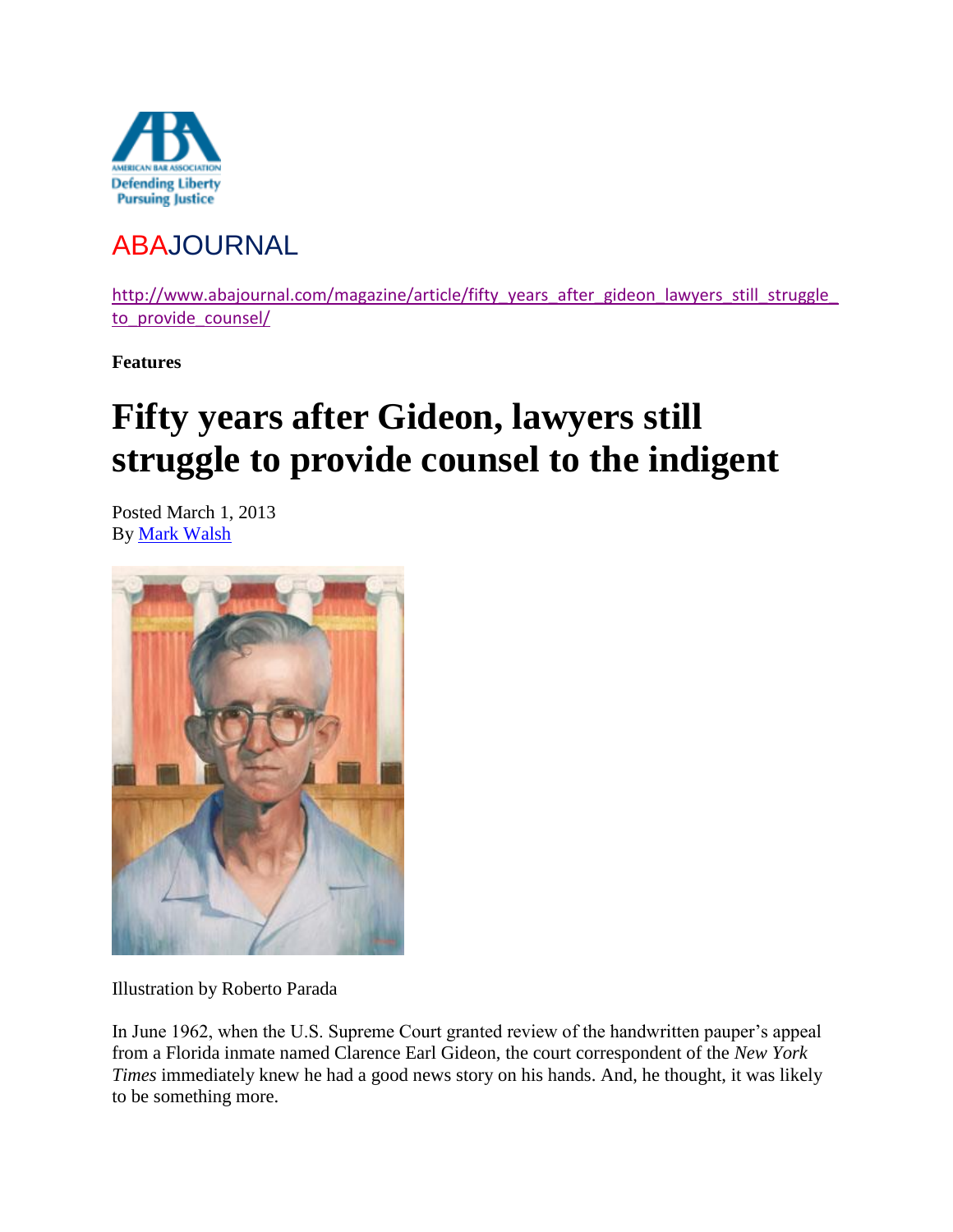

## ABAJOURNAL

http://www.abajournal.com/magazine/article/fifty\_years\_after\_gideon\_lawyers\_still\_struggle to provide counsel/

**Features**

# **Fifty years after Gideon, lawyers still struggle to provide counsel to the indigent**

Posted March 1, 2013 By [Mark Walsh](http://www.abajournal.com/authors/4711/)



Illustration by Roberto Parada

In June 1962, when the U.S. Supreme Court granted review of the handwritten pauper's appeal from a Florida inmate named Clarence Earl Gideon, the court correspondent of the *New York Times* immediately knew he had a good news story on his hands. And, he thought, it was likely to be something more.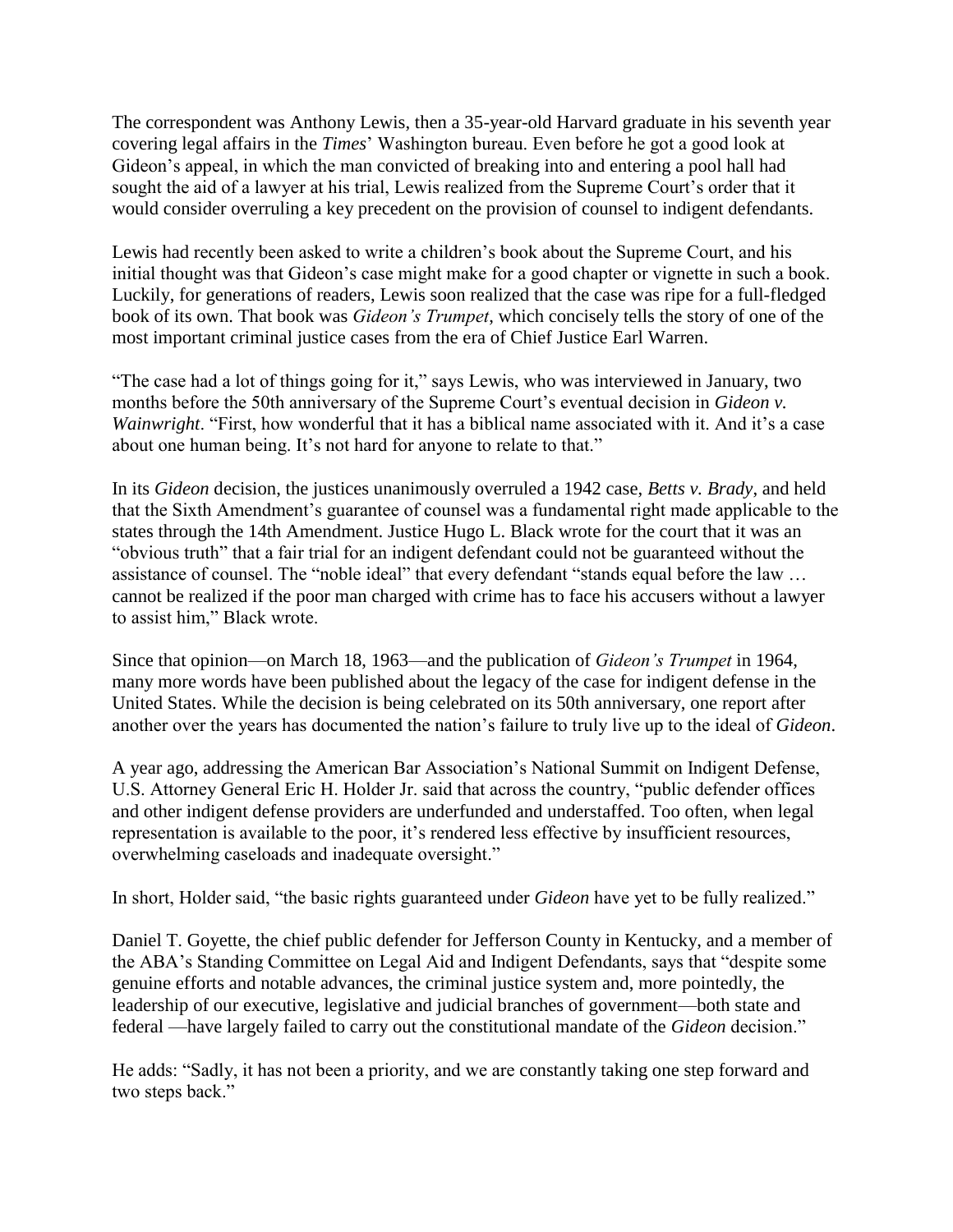The correspondent was Anthony Lewis, then a 35-year-old Harvard graduate in his seventh year covering legal affairs in the *Times*' Washington bureau. Even before he got a good look at Gideon's appeal, in which the man convicted of breaking into and entering a pool hall had sought the aid of a lawyer at his trial, Lewis realized from the Supreme Court's order that it would consider overruling a key precedent on the provision of counsel to indigent defendants.

Lewis had recently been asked to write a children's book about the Supreme Court, and his initial thought was that Gideon's case might make for a good chapter or vignette in such a book. Luckily, for generations of readers, Lewis soon realized that the case was ripe for a full-fledged book of its own. That book was *Gideon's Trumpet*, which concisely tells the story of one of the most important criminal justice cases from the era of Chief Justice Earl Warren.

"The case had a lot of things going for it," says Lewis, who was interviewed in January, two months before the 50th anniversary of the Supreme Court's eventual decision in *Gideon v. Wainwright*. "First, how wonderful that it has a biblical name associated with it. And it's a case about one human being. It's not hard for anyone to relate to that."

In its *Gideon* decision, the justices unanimously overruled a 1942 case, *Betts v. Brady*, and held that the Sixth Amendment's guarantee of counsel was a fundamental right made applicable to the states through the 14th Amendment. Justice Hugo L. Black wrote for the court that it was an "obvious truth" that a fair trial for an indigent defendant could not be guaranteed without the assistance of counsel. The "noble ideal" that every defendant "stands equal before the law … cannot be realized if the poor man charged with crime has to face his accusers without a lawyer to assist him," Black wrote.

Since that opinion—on March 18, 1963—and the publication of *Gideon's Trumpet* in 1964, many more words have been published about the legacy of the case for indigent defense in the United States. While the decision is being celebrated on its 50th anniversary, one report after another over the years has documented the nation's failure to truly live up to the ideal of *Gideon*.

A year ago, addressing the American Bar Association's National Summit on Indigent Defense, U.S. Attorney General Eric H. Holder Jr. said that across the country, "public defender offices and other indigent defense providers are underfunded and understaffed. Too often, when legal representation is available to the poor, it's rendered less effective by insufficient resources, overwhelming caseloads and inadequate oversight."

In short, Holder said, "the basic rights guaranteed under *Gideon* have yet to be fully realized."

Daniel T. Goyette, the chief public defender for Jefferson County in Kentucky, and a member of the ABA's Standing Committee on Legal Aid and Indigent Defendants, says that "despite some genuine efforts and notable advances, the criminal justice system and, more pointedly, the leadership of our executive, legislative and judicial branches of government—both state and federal —have largely failed to carry out the constitutional mandate of the *Gideon* decision."

He adds: "Sadly, it has not been a priority, and we are constantly taking one step forward and two steps back."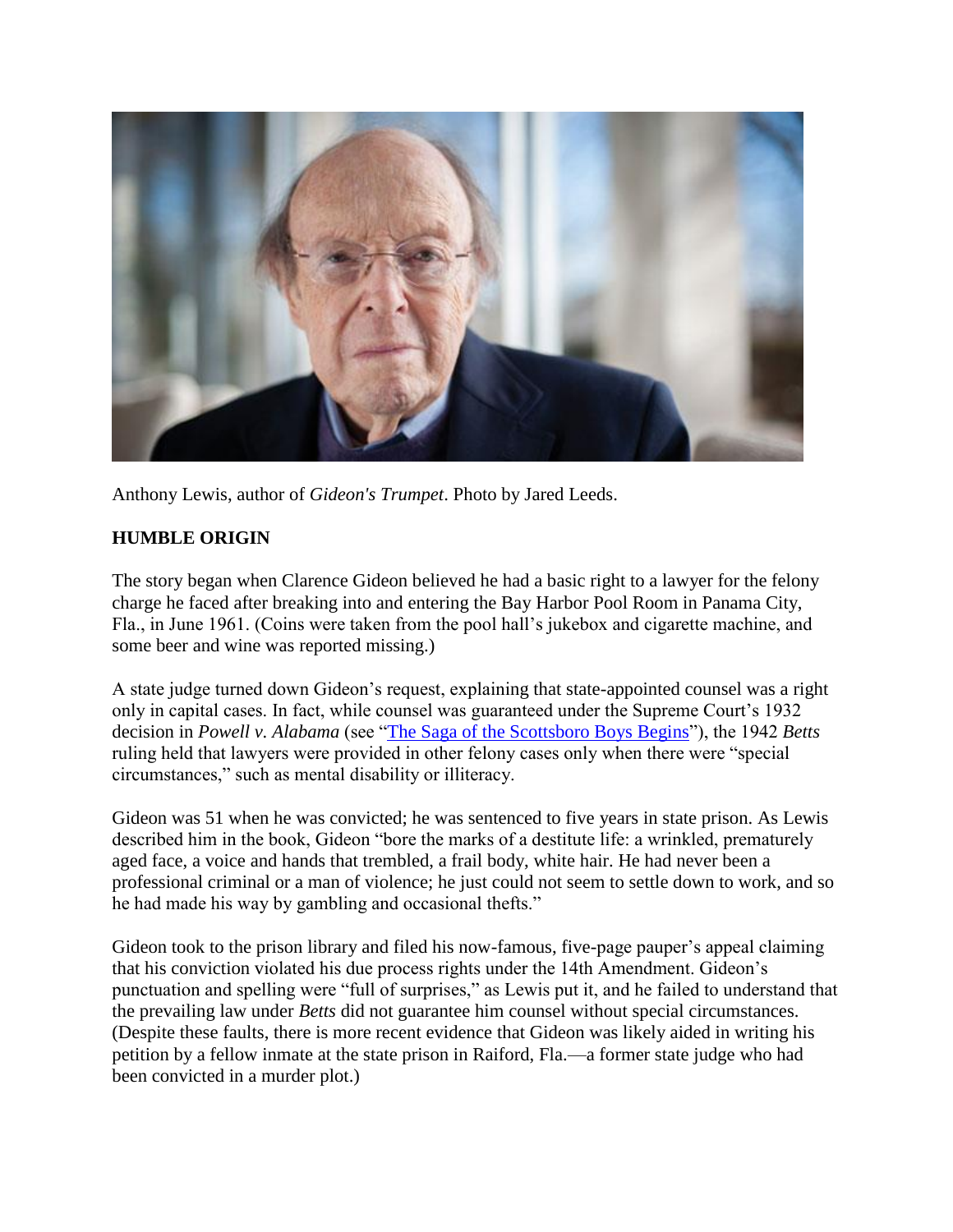

Anthony Lewis, author of *Gideon's Trumpet*. Photo by Jared Leeds.

#### **HUMBLE ORIGIN**

The story began when Clarence Gideon believed he had a basic right to a lawyer for the felony charge he faced after breaking into and entering the Bay Harbor Pool Room in Panama City, Fla., in June 1961. (Coins were taken from the pool hall's jukebox and cigarette machine, and some beer and wine was reported missing.)

A state judge turned down Gideon's request, explaining that state-appointed counsel was a right only in capital cases. In fact, while counsel was guaranteed under the Supreme Court's 1932 decision in *Powell v. Alabama* (see ["The Saga of the Scottsboro Boys Begins"](http://www.abajournal.com/magazine/article/the_saga_of_the_scottsboro_boys_begins)), the 1942 *Betts* ruling held that lawyers were provided in other felony cases only when there were "special circumstances," such as mental disability or illiteracy.

Gideon was 51 when he was convicted; he was sentenced to five years in state prison. As Lewis described him in the book, Gideon "bore the marks of a destitute life: a wrinkled, prematurely aged face, a voice and hands that trembled, a frail body, white hair. He had never been a professional criminal or a man of violence; he just could not seem to settle down to work, and so he had made his way by gambling and occasional thefts."

Gideon took to the prison library and filed his now-famous, five-page pauper's appeal claiming that his conviction violated his due process rights under the 14th Amendment. Gideon's punctuation and spelling were "full of surprises," as Lewis put it, and he failed to understand that the prevailing law under *Betts* did not guarantee him counsel without special circumstances. (Despite these faults, there is more recent evidence that Gideon was likely aided in writing his petition by a fellow inmate at the state prison in Raiford, Fla.—a former state judge who had been convicted in a murder plot.)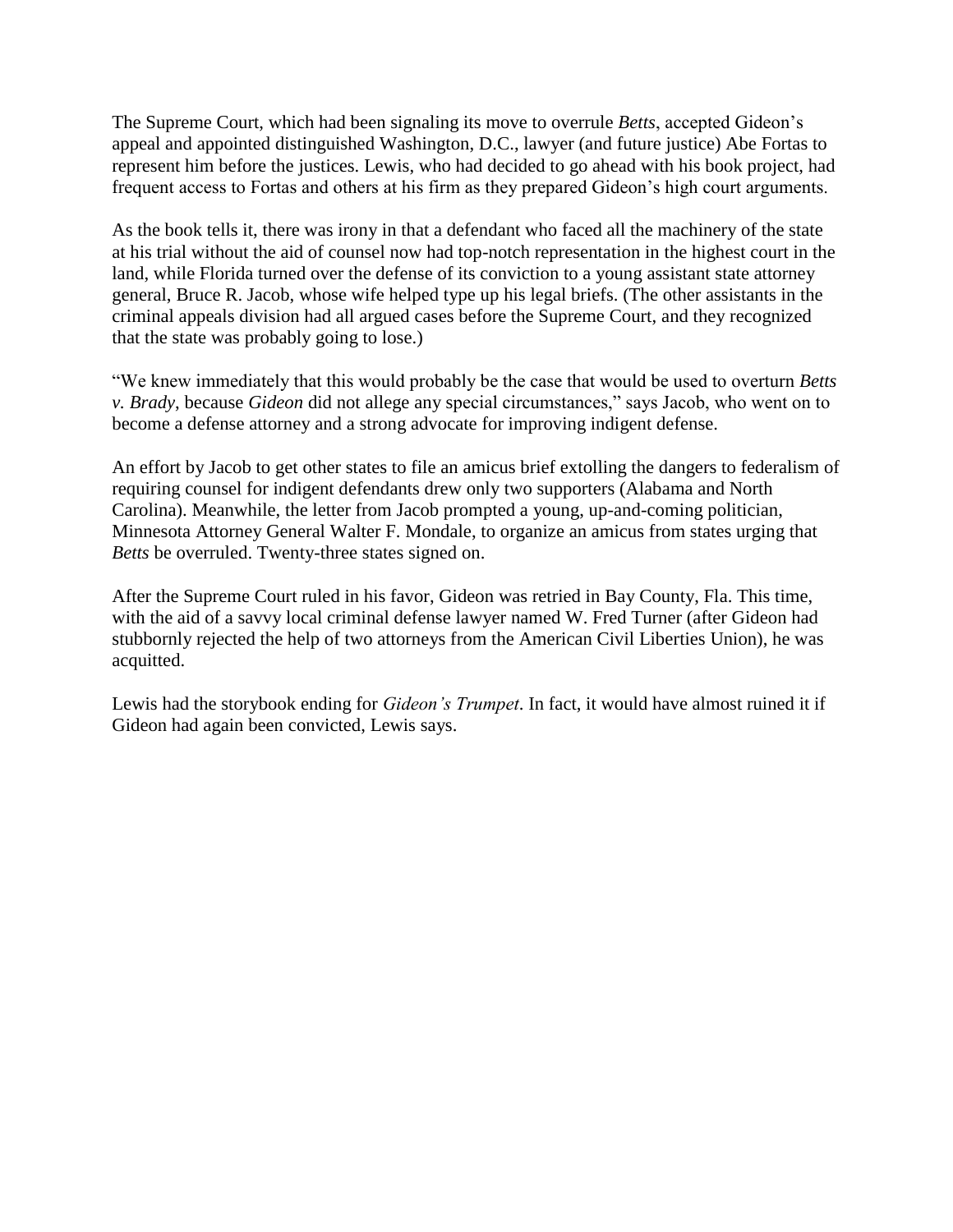The Supreme Court, which had been signaling its move to overrule *Betts*, accepted Gideon's appeal and appointed distinguished Washington, D.C., lawyer (and future justice) Abe Fortas to represent him before the justices. Lewis, who had decided to go ahead with his book project, had frequent access to Fortas and others at his firm as they prepared Gideon's high court arguments.

As the book tells it, there was irony in that a defendant who faced all the machinery of the state at his trial without the aid of counsel now had top-notch representation in the highest court in the land, while Florida turned over the defense of its conviction to a young assistant state attorney general, Bruce R. Jacob, whose wife helped type up his legal briefs. (The other assistants in the criminal appeals division had all argued cases before the Supreme Court, and they recognized that the state was probably going to lose.)

"We knew immediately that this would probably be the case that would be used to overturn *Betts v. Brady*, because *Gideon* did not allege any special circumstances," says Jacob, who went on to become a defense attorney and a strong advocate for improving indigent defense.

An effort by Jacob to get other states to file an amicus brief extolling the dangers to federalism of requiring counsel for indigent defendants drew only two supporters (Alabama and North Carolina). Meanwhile, the letter from Jacob prompted a young, up-and-coming politician, Minnesota Attorney General Walter F. Mondale, to organize an amicus from states urging that *Betts* be overruled. Twenty-three states signed on.

After the Supreme Court ruled in his favor, Gideon was retried in Bay County, Fla. This time, with the aid of a savvy local criminal defense lawyer named W. Fred Turner (after Gideon had stubbornly rejected the help of two attorneys from the American Civil Liberties Union), he was acquitted.

Lewis had the storybook ending for *Gideon's Trumpet*. In fact, it would have almost ruined it if Gideon had again been convicted, Lewis says.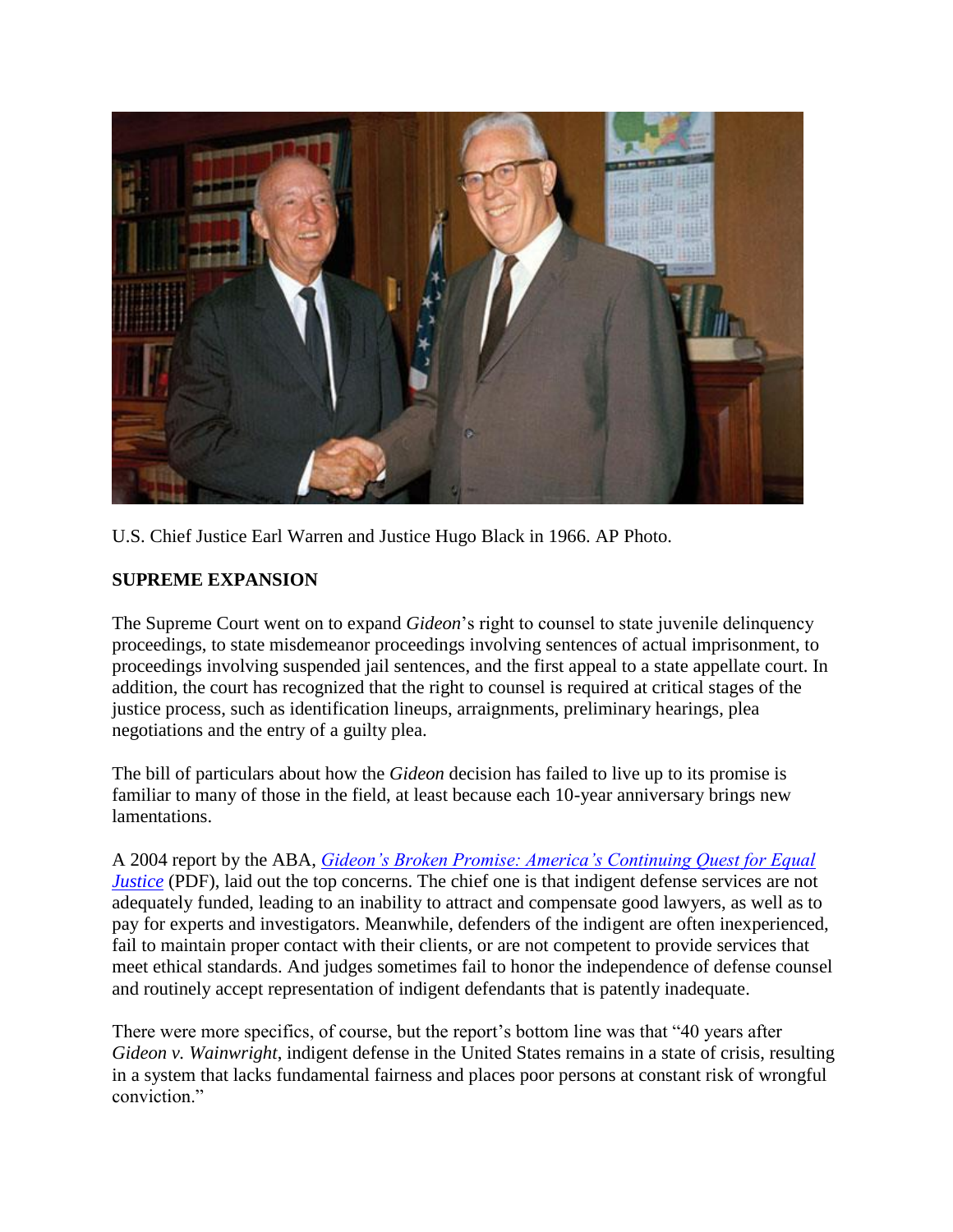

U.S. Chief Justice Earl Warren and Justice Hugo Black in 1966. AP Photo.

#### **SUPREME EXPANSION**

The Supreme Court went on to expand *Gideon*'s right to counsel to state juvenile delinquency proceedings, to state misdemeanor proceedings involving sentences of actual imprisonment, to proceedings involving suspended jail sentences, and the first appeal to a state appellate court. In addition, the court has recognized that the right to counsel is required at critical stages of the justice process, such as identification lineups, arraignments, preliminary hearings, plea negotiations and the entry of a guilty plea.

The bill of particulars about how the *Gideon* decision has failed to live up to its promise is familiar to many of those in the field, at least because each 10-year anniversary brings new lamentations.

A 2004 report by the ABA, *[Gideon's Broken Promise: America's Continuing Quest for Equal](http://www.americanbar.org/content/dam/aba/administrative/legal_aid_indigent_defendants/ls_sclaid_def_bp_right_to_counsel_in_criminal_proceedings.pdf)  [Justice](http://www.americanbar.org/content/dam/aba/administrative/legal_aid_indigent_defendants/ls_sclaid_def_bp_right_to_counsel_in_criminal_proceedings.pdf)* (PDF), laid out the top concerns. The chief one is that indigent defense services are not adequately funded, leading to an inability to attract and compensate good lawyers, as well as to pay for experts and investigators. Meanwhile, defenders of the indigent are often inexperienced, fail to maintain proper contact with their clients, or are not competent to provide services that meet ethical standards. And judges sometimes fail to honor the independence of defense counsel and routinely accept representation of indigent defendants that is patently inadequate.

There were more specifics, of course, but the report's bottom line was that "40 years after *Gideon v. Wainwright*, indigent defense in the United States remains in a state of crisis, resulting in a system that lacks fundamental fairness and places poor persons at constant risk of wrongful conviction."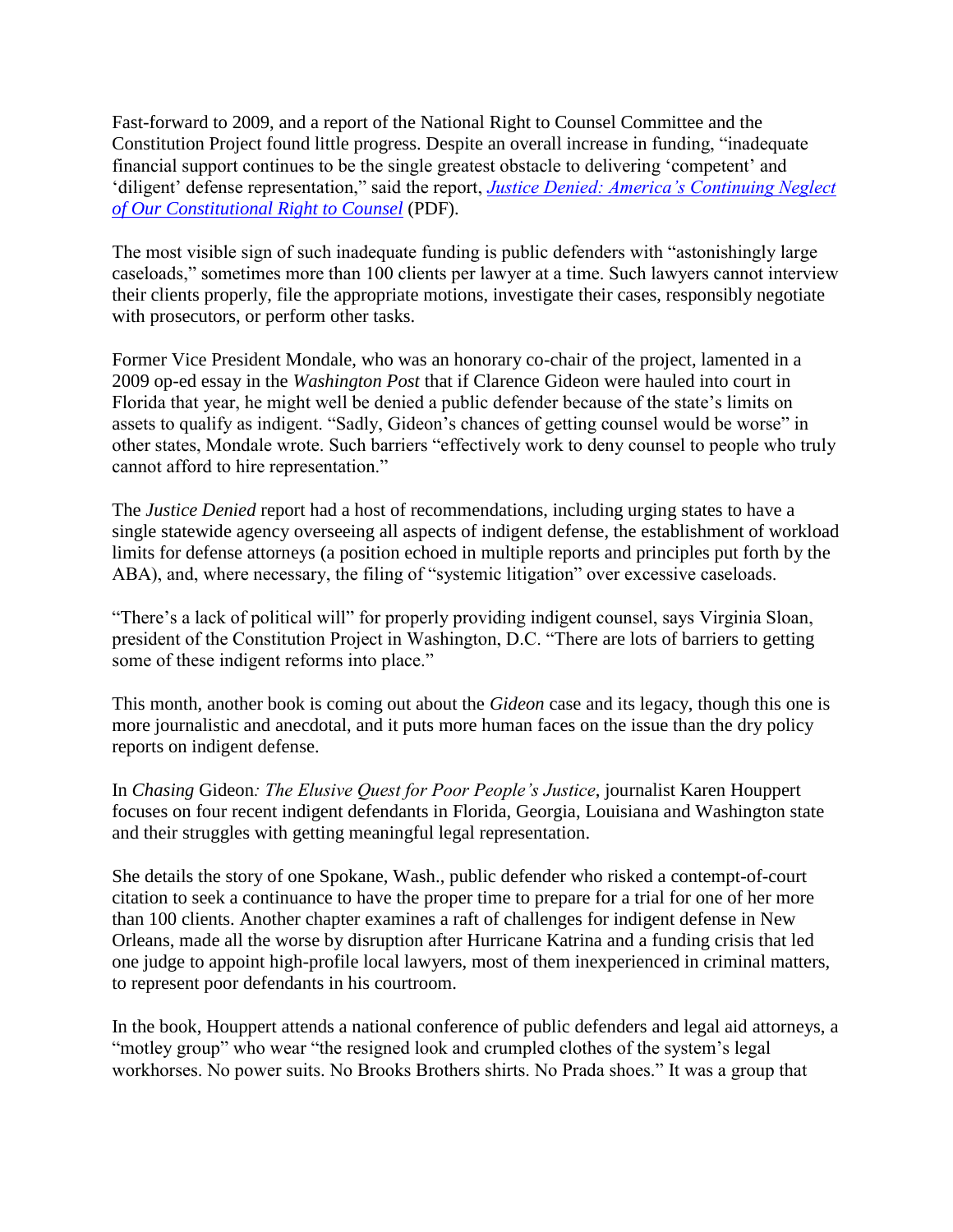Fast-forward to 2009, and a report of the National Right to Counsel Committee and the Constitution Project found little progress. Despite an overall increase in funding, "inadequate financial support continues to be the single greatest obstacle to delivering 'competent' and 'diligent' defense representation," said the report, *[Justice Denied: America's Continuing Neglect](http://www.constitutionproject.org/pdf/139.pdf)  [of Our Constitutional Right to Counsel](http://www.constitutionproject.org/pdf/139.pdf)* (PDF).

The most visible sign of such inadequate funding is public defenders with "astonishingly large caseloads," sometimes more than 100 clients per lawyer at a time. Such lawyers cannot interview their clients properly, file the appropriate motions, investigate their cases, responsibly negotiate with prosecutors, or perform other tasks.

Former Vice President Mondale, who was an honorary co-chair of the project, lamented in a 2009 op-ed essay in the *Washington Post* that if Clarence Gideon were hauled into court in Florida that year, he might well be denied a public defender because of the state's limits on assets to qualify as indigent. "Sadly, Gideon's chances of getting counsel would be worse" in other states, Mondale wrote. Such barriers "effectively work to deny counsel to people who truly cannot afford to hire representation."

The *Justice Denied* report had a host of recommendations, including urging states to have a single statewide agency overseeing all aspects of indigent defense, the establishment of workload limits for defense attorneys (a position echoed in multiple reports and principles put forth by the ABA), and, where necessary, the filing of "systemic litigation" over excessive caseloads.

"There's a lack of political will" for properly providing indigent counsel, says Virginia Sloan, president of the Constitution Project in Washington, D.C. "There are lots of barriers to getting some of these indigent reforms into place."

This month, another book is coming out about the *Gideon* case and its legacy, though this one is more journalistic and anecdotal, and it puts more human faces on the issue than the dry policy reports on indigent defense.

In *Chasing* Gideon*: The Elusive Quest for Poor People's Justice*, journalist Karen Houppert focuses on four recent indigent defendants in Florida, Georgia, Louisiana and Washington state and their struggles with getting meaningful legal representation.

She details the story of one Spokane, Wash., public defender who risked a contempt-of-court citation to seek a continuance to have the proper time to prepare for a trial for one of her more than 100 clients. Another chapter examines a raft of challenges for indigent defense in New Orleans, made all the worse by disruption after Hurricane Katrina and a funding crisis that led one judge to appoint high-profile local lawyers, most of them inexperienced in criminal matters, to represent poor defendants in his courtroom.

In the book, Houppert attends a national conference of public defenders and legal aid attorneys, a "motley group" who wear "the resigned look and crumpled clothes of the system's legal workhorses. No power suits. No Brooks Brothers shirts. No Prada shoes." It was a group that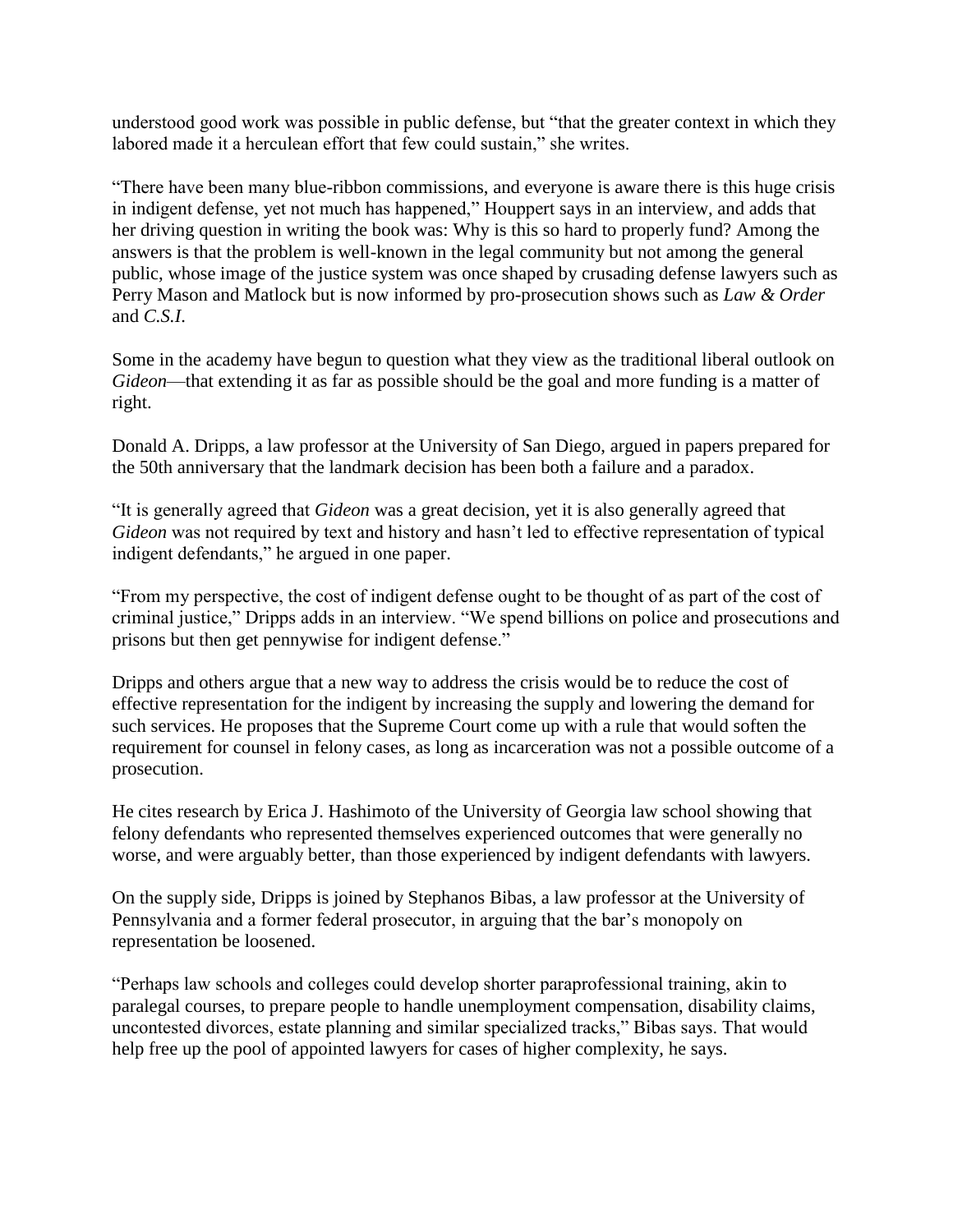understood good work was possible in public defense, but "that the greater context in which they labored made it a herculean effort that few could sustain," she writes.

"There have been many blue-ribbon commissions, and everyone is aware there is this huge crisis in indigent defense, yet not much has happened," Houppert says in an interview, and adds that her driving question in writing the book was: Why is this so hard to properly fund? Among the answers is that the problem is well-known in the legal community but not among the general public, whose image of the justice system was once shaped by crusading defense lawyers such as Perry Mason and Matlock but is now informed by pro-prosecution shows such as *Law & Order* and *C.S.I*.

Some in the academy have begun to question what they view as the traditional liberal outlook on *Gideon*—that extending it as far as possible should be the goal and more funding is a matter of right.

Donald A. Dripps, a law professor at the University of San Diego, argued in papers prepared for the 50th anniversary that the landmark decision has been both a failure and a paradox.

"It is generally agreed that *Gideon* was a great decision, yet it is also generally agreed that *Gideon* was not required by text and history and hasn't led to effective representation of typical indigent defendants," he argued in one paper.

"From my perspective, the cost of indigent defense ought to be thought of as part of the cost of criminal justice," Dripps adds in an interview. "We spend billions on police and prosecutions and prisons but then get pennywise for indigent defense."

Dripps and others argue that a new way to address the crisis would be to reduce the cost of effective representation for the indigent by increasing the supply and lowering the demand for such services. He proposes that the Supreme Court come up with a rule that would soften the requirement for counsel in felony cases, as long as incarceration was not a possible outcome of a prosecution.

He cites research by Erica J. Hashimoto of the University of Georgia law school showing that felony defendants who represented themselves experienced outcomes that were generally no worse, and were arguably better, than those experienced by indigent defendants with lawyers.

On the supply side, Dripps is joined by Stephanos Bibas, a law professor at the University of Pennsylvania and a former federal prosecutor, in arguing that the bar's monopoly on representation be loosened.

"Perhaps law schools and colleges could develop shorter paraprofessional training, akin to paralegal courses, to prepare people to handle unemployment compensation, disability claims, uncontested divorces, estate planning and similar specialized tracks," Bibas says. That would help free up the pool of appointed lawyers for cases of higher complexity, he says.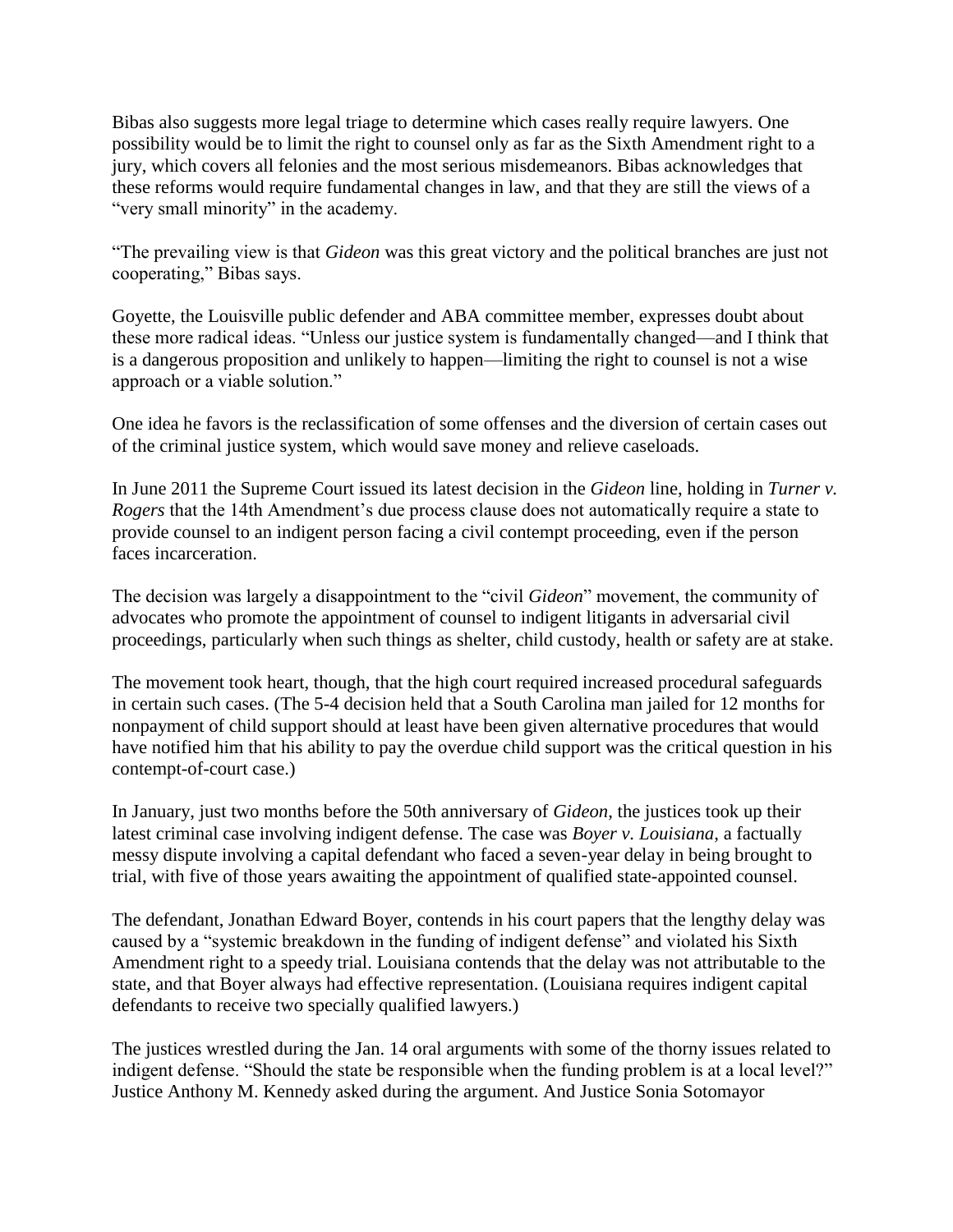Bibas also suggests more legal triage to determine which cases really require lawyers. One possibility would be to limit the right to counsel only as far as the Sixth Amendment right to a jury, which covers all felonies and the most serious misdemeanors. Bibas acknowledges that these reforms would require fundamental changes in law, and that they are still the views of a "very small minority" in the academy.

"The prevailing view is that *Gideon* was this great victory and the political branches are just not cooperating," Bibas says.

Goyette, the Louisville public defender and ABA committee member, expresses doubt about these more radical ideas. "Unless our justice system is fundamentally changed—and I think that is a dangerous proposition and unlikely to happen—limiting the right to counsel is not a wise approach or a viable solution."

One idea he favors is the reclassification of some offenses and the diversion of certain cases out of the criminal justice system, which would save money and relieve caseloads.

In June 2011 the Supreme Court issued its latest decision in the *Gideon* line, holding in *Turner v. Rogers* that the 14th Amendment's due process clause does not automatically require a state to provide counsel to an indigent person facing a civil contempt proceeding, even if the person faces incarceration.

The decision was largely a disappointment to the "civil *Gideon*" movement, the community of advocates who promote the appointment of counsel to indigent litigants in adversarial civil proceedings, particularly when such things as shelter, child custody, health or safety are at stake.

The movement took heart, though, that the high court required increased procedural safeguards in certain such cases. (The 5-4 decision held that a South Carolina man jailed for 12 months for nonpayment of child support should at least have been given alternative procedures that would have notified him that his ability to pay the overdue child support was the critical question in his contempt-of-court case.)

In January, just two months before the 50th anniversary of *Gideon*, the justices took up their latest criminal case involving indigent defense. The case was *Boyer v. Louisiana*, a factually messy dispute involving a capital defendant who faced a seven-year delay in being brought to trial, with five of those years awaiting the appointment of qualified state-appointed counsel.

The defendant, Jonathan Edward Boyer, contends in his court papers that the lengthy delay was caused by a "systemic breakdown in the funding of indigent defense" and violated his Sixth Amendment right to a speedy trial. Louisiana contends that the delay was not attributable to the state, and that Boyer always had effective representation. (Louisiana requires indigent capital defendants to receive two specially qualified lawyers.)

The justices wrestled during the Jan. 14 oral arguments with some of the thorny issues related to indigent defense. "Should the state be responsible when the funding problem is at a local level?" Justice Anthony M. Kennedy asked during the argument. And Justice Sonia Sotomayor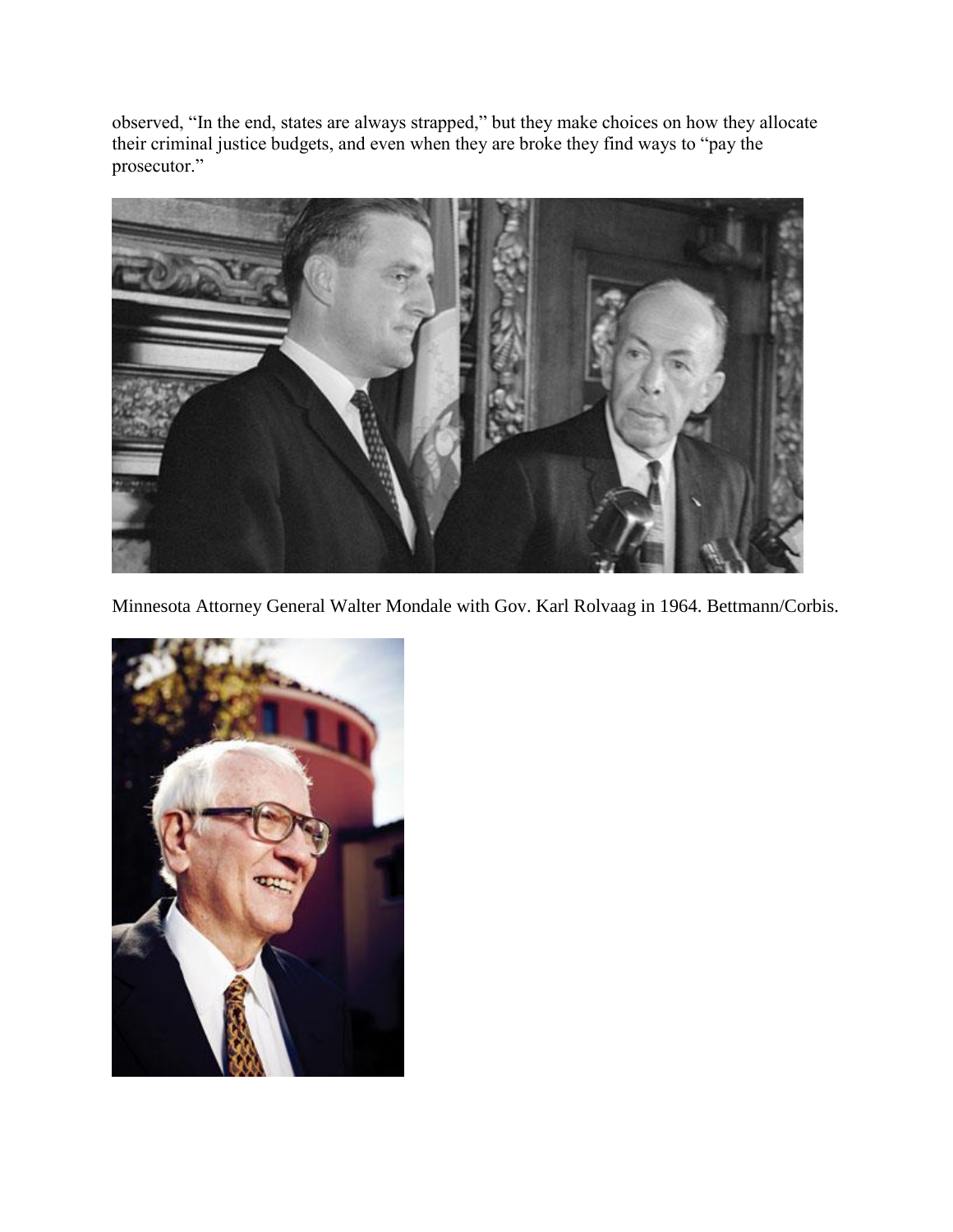observed, "In the end, states are always strapped," but they make choices on how they allocate their criminal justice budgets, and even when they are broke they find ways to "pay the prosecutor."



Minnesota Attorney General Walter Mondale with Gov. Karl Rolvaag in 1964. Bettmann/Corbis.